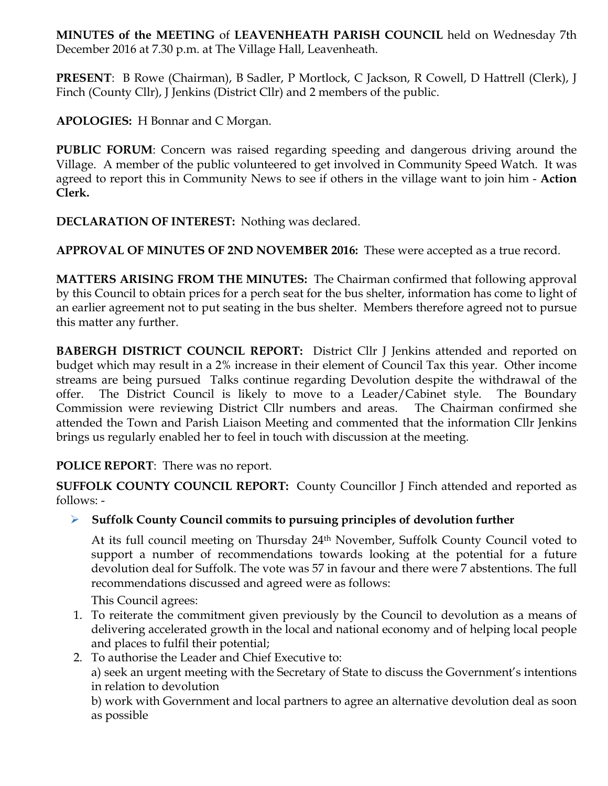**MINUTES of the MEETING** of **LEAVENHEATH PARISH COUNCIL** held on Wednesday 7th December 2016 at 7.30 p.m. at The Village Hall, Leavenheath.

**PRESENT**: B Rowe (Chairman), B Sadler, P Mortlock, C Jackson, R Cowell, D Hattrell (Clerk), J Finch (County Cllr), J Jenkins (District Cllr) and 2 members of the public.

**APOLOGIES:** H Bonnar and C Morgan.

**PUBLIC FORUM**: Concern was raised regarding speeding and dangerous driving around the Village. A member of the public volunteered to get involved in Community Speed Watch. It was agreed to report this in Community News to see if others in the village want to join him - **Action Clerk.** 

**DECLARATION OF INTEREST:** Nothing was declared.

**APPROVAL OF MINUTES OF 2ND NOVEMBER 2016:** These were accepted as a true record.

**MATTERS ARISING FROM THE MINUTES:** The Chairman confirmed that following approval by this Council to obtain prices for a perch seat for the bus shelter, information has come to light of an earlier agreement not to put seating in the bus shelter. Members therefore agreed not to pursue this matter any further.

**BABERGH DISTRICT COUNCIL REPORT:** District Cllr J Jenkins attended and reported on budget which may result in a 2% increase in their element of Council Tax this year. Other income streams are being pursued Talks continue regarding Devolution despite the withdrawal of the offer. The District Council is likely to move to a Leader/Cabinet style. The Boundary Commission were reviewing District Cllr numbers and areas. The Chairman confirmed she attended the Town and Parish Liaison Meeting and commented that the information Cllr Jenkins brings us regularly enabled her to feel in touch with discussion at the meeting.

# **POLICE REPORT**: There was no report.

**SUFFOLK COUNTY COUNCIL REPORT:** County Councillor J Finch attended and reported as follows: -

Ø **Suffolk County Council commits to pursuing principles of devolution further**

At its full council meeting on Thursday 24th November, Suffolk County Council voted to support a number of recommendations towards looking at the potential for a future devolution deal for Suffolk. The vote was 57 in favour and there were 7 abstentions. The full recommendations discussed and agreed were as follows:

This Council agrees:

- 1. To reiterate the commitment given previously by the Council to devolution as a means of delivering accelerated growth in the local and national economy and of helping local people and places to fulfil their potential;
- 2. To authorise the Leader and Chief Executive to:

a) seek an urgent meeting with the Secretary of State to discuss the Government's intentions in relation to devolution

b) work with Government and local partners to agree an alternative devolution deal as soon as possible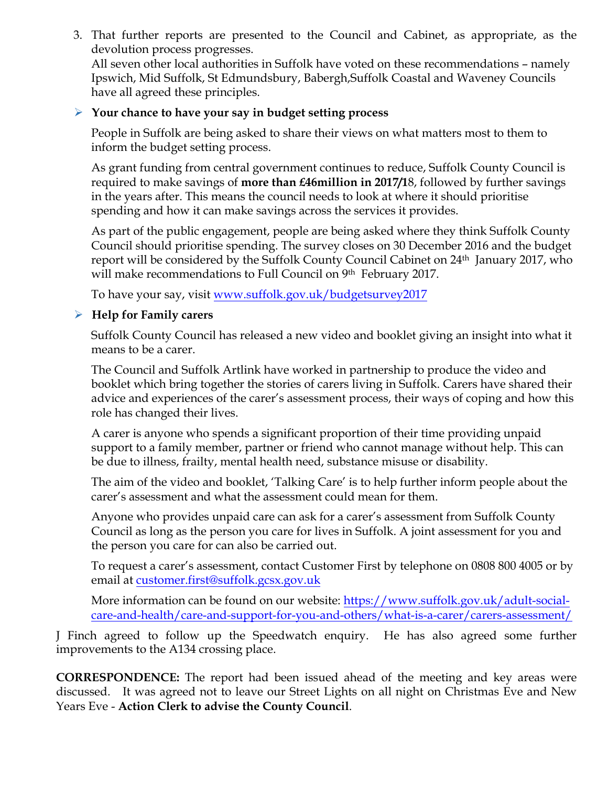3. That further reports are presented to the Council and Cabinet, as appropriate, as the devolution process progresses.

All seven other local authorities in Suffolk have voted on these recommendations – namely Ipswich, Mid Suffolk, St Edmundsbury, Babergh,Suffolk Coastal and Waveney Councils have all agreed these principles.

#### Ø **Your chance to have your say in budget setting process**

People in Suffolk are being asked to share their views on what matters most to them to inform the budget setting process.

As grant funding from central government continues to reduce, Suffolk County Council is required to make savings of **more than £46million in 2017/1**8, followed by further savings in the years after. This means the council needs to look at where it should prioritise spending and how it can make savings across the services it provides.

As part of the public engagement, people are being asked where they think Suffolk County Council should prioritise spending. The survey closes on 30 December 2016 and the budget report will be considered by the Suffolk County Council Cabinet on 24<sup>th</sup> January 2017, who will make recommendations to Full Council on 9th February 2017.

To have your say, visit www.suffolk.gov.uk/budgetsurvey2017

## Ø **Help for Family carers**

Suffolk County Council has released a new video and booklet giving an insight into what it means to be a carer.

The Council and Suffolk Artlink have worked in partnership to produce the video and booklet which bring together the stories of carers living in Suffolk. Carers have shared their advice and experiences of the carer's assessment process, their ways of coping and how this role has changed their lives.

A carer is anyone who spends a significant proportion of their time providing unpaid support to a family member, partner or friend who cannot manage without help. This can be due to illness, frailty, mental health need, substance misuse or disability.

The aim of the video and booklet, 'Talking Care' is to help further inform people about the carer's assessment and what the assessment could mean for them.

Anyone who provides unpaid care can ask for a carer's assessment from Suffolk County Council as long as the person you care for lives in Suffolk. A joint assessment for you and the person you care for can also be carried out.

To request a carer's assessment, contact Customer First by telephone on 0808 800 4005 or by email at customer.first@suffolk.gcsx.gov.uk

More information can be found on our website: https://www.suffolk.gov.uk/adult-socialcare-and-health/care-and-support-for-you-and-others/what-is-a-carer/carers-assessment/

J Finch agreed to follow up the Speedwatch enquiry. He has also agreed some further improvements to the A134 crossing place.

**CORRESPONDENCE:** The report had been issued ahead of the meeting and key areas were discussed. It was agreed not to leave our Street Lights on all night on Christmas Eve and New Years Eve - **Action Clerk to advise the County Council**.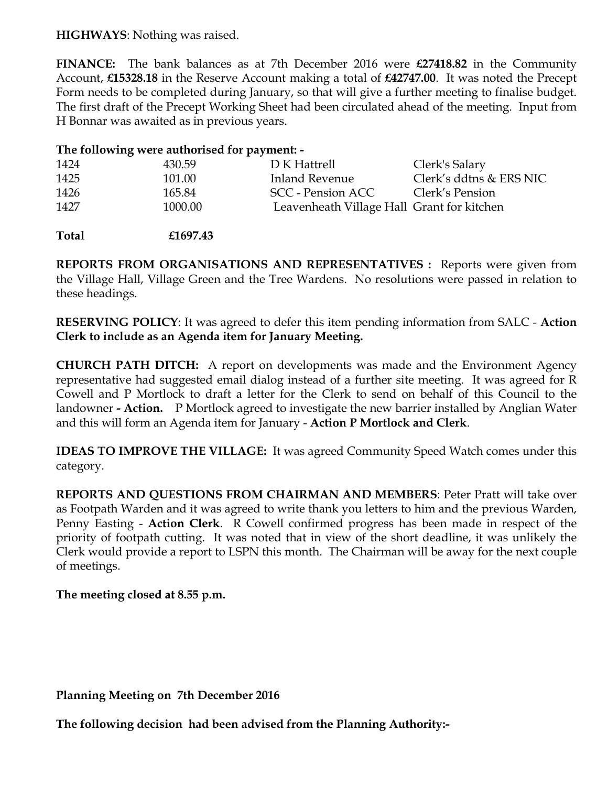#### **HIGHWAYS**: Nothing was raised.

**FINANCE:** The bank balances as at 7th December 2016 were **£27418.82** in the Community Account, **£15328.18** in the Reserve Account making a total of **£42747.00**. It was noted the Precept Form needs to be completed during January, so that will give a further meeting to finalise budget. The first draft of the Precept Working Sheet had been circulated ahead of the meeting. Input from H Bonnar was awaited as in previous years.

## **The following were authorised for payment: -**

| 1424 | 430.59  | D K Hattrell                               | Clerk's Salary          |
|------|---------|--------------------------------------------|-------------------------|
| 1425 | 101.00  | Inland Revenue                             | Clerk's ddtns & ERS NIC |
| 1426 | 165.84  | SCC - Pension ACC                          | Clerk's Pension         |
| 1427 | 1000.00 | Leavenheath Village Hall Grant for kitchen |                         |
|      |         |                                            |                         |

**Total £1697.43**

**REPORTS FROM ORGANISATIONS AND REPRESENTATIVES :** Reports were given from the Village Hall, Village Green and the Tree Wardens. No resolutions were passed in relation to these headings.

**RESERVING POLICY**: It was agreed to defer this item pending information from SALC - **Action Clerk to include as an Agenda item for January Meeting.** 

**CHURCH PATH DITCH:** A report on developments was made and the Environment Agency representative had suggested email dialog instead of a further site meeting. It was agreed for R Cowell and P Mortlock to draft a letter for the Clerk to send on behalf of this Council to the landowner **- Action.** P Mortlock agreed to investigate the new barrier installed by Anglian Water and this will form an Agenda item for January - **Action P Mortlock and Clerk**.

**IDEAS TO IMPROVE THE VILLAGE:** It was agreed Community Speed Watch comes under this category.

**REPORTS AND QUESTIONS FROM CHAIRMAN AND MEMBERS**: Peter Pratt will take over as Footpath Warden and it was agreed to write thank you letters to him and the previous Warden, Penny Easting - **Action Clerk**. R Cowell confirmed progress has been made in respect of the priority of footpath cutting. It was noted that in view of the short deadline, it was unlikely the Clerk would provide a report to LSPN this month. The Chairman will be away for the next couple of meetings.

## **The meeting closed at 8.55 p.m.**

**Planning Meeting on 7th December 2016**

**The following decision had been advised from the Planning Authority:-**